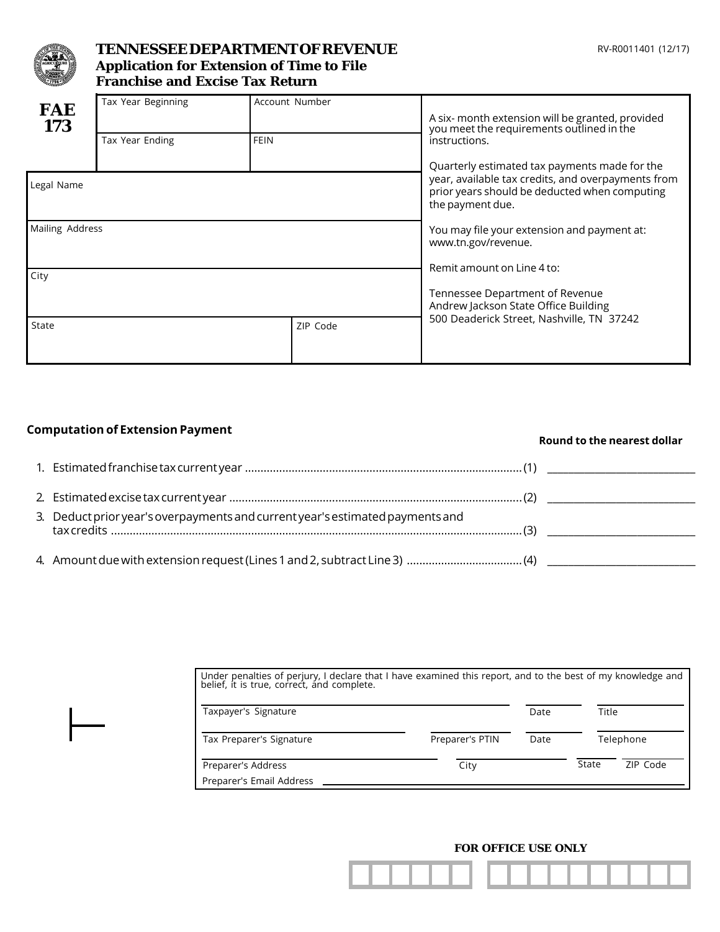

# **TENNESSEE DEPARTMENT OF REVENUE Application for Extension of Time to File Franchise and Excise Tax Return**

| <b>FAE</b><br>173 | Tax Year Beginning |                                                                         | Account Number | A six- month extension will be granted, provided<br>you meet the requirements outlined in the                                                                            |  |  |
|-------------------|--------------------|-------------------------------------------------------------------------|----------------|--------------------------------------------------------------------------------------------------------------------------------------------------------------------------|--|--|
|                   | Tax Year Ending    | <b>FEIN</b>                                                             |                | instructions.                                                                                                                                                            |  |  |
| Legal Name        |                    |                                                                         |                | Quarterly estimated tax payments made for the<br>year, available tax credits, and overpayments from<br>prior years should be deducted when computing<br>the payment due. |  |  |
| Mailing Address   |                    |                                                                         |                | You may file your extension and payment at:<br>www.tn.gov/revenue.                                                                                                       |  |  |
| City              |                    | Remit amount on Line 4 to:                                              |                |                                                                                                                                                                          |  |  |
|                   |                    | Tennessee Department of Revenue<br>Andrew Jackson State Office Building |                |                                                                                                                                                                          |  |  |
| State             |                    |                                                                         | ZIP Code       | 500 Deaderick Street, Nashville, TN 37242                                                                                                                                |  |  |
|                   |                    |                                                                         |                |                                                                                                                                                                          |  |  |

### **Computation of Extension Payment**

### **Round to the nearest dollar**

| 3. Deduct prior year's overpayments and current year's estimated payments and |  |
|-------------------------------------------------------------------------------|--|
|                                                                               |  |

| Under penalties of perjury, I declare that I have examined this report, and to the best of my knowledge and<br>belief, it is true, correct, and complete. |                 |      |       |           |  |
|-----------------------------------------------------------------------------------------------------------------------------------------------------------|-----------------|------|-------|-----------|--|
| Taxpayer's Signature                                                                                                                                      |                 | Date |       | Title     |  |
| Tax Preparer's Signature                                                                                                                                  | Preparer's PTIN | Date |       | Telephone |  |
| Preparer's Address<br>Preparer's Email Address                                                                                                            | City            |      | State | ZIP Code  |  |

#### **FOR OFFICE USE ONLY**